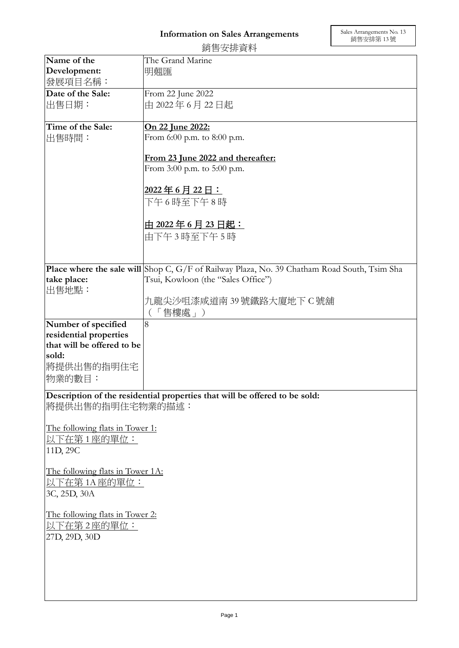|                                                                            | 銷售安排資料                                                                                             |
|----------------------------------------------------------------------------|----------------------------------------------------------------------------------------------------|
| Name of the                                                                | The Grand Marine                                                                                   |
| Development:                                                               | 明翹匯                                                                                                |
| 發展項目名稱:                                                                    |                                                                                                    |
| Date of the Sale:                                                          | From 22 June 2022                                                                                  |
| 出售日期:                                                                      | 由 2022年6月22日起                                                                                      |
|                                                                            |                                                                                                    |
| Time of the Sale:                                                          | On 22 June 2022:                                                                                   |
| 出售時間:                                                                      | From 6:00 p.m. to 8:00 p.m.                                                                        |
|                                                                            |                                                                                                    |
|                                                                            | From 23 June 2022 and thereafter:                                                                  |
|                                                                            | From 3:00 p.m. to 5:00 p.m.                                                                        |
|                                                                            | 2022年6月22日:                                                                                        |
|                                                                            | 下午6時至下午8時                                                                                          |
|                                                                            |                                                                                                    |
|                                                                            | <u>由 2022年6月23日起:</u>                                                                              |
|                                                                            | 由下午3時至下午5時                                                                                         |
|                                                                            |                                                                                                    |
|                                                                            |                                                                                                    |
|                                                                            | <b>Place where the sale will</b> Shop C, G/F of Railway Plaza, No. 39 Chatham Road South, Tsim Sha |
| take place:                                                                | Tsui, Kowloon (the "Sales Office")                                                                 |
| 出售地點:                                                                      |                                                                                                    |
|                                                                            | 九龍尖沙咀漆咸道南 39 號鐵路大廈地下 C 號舖                                                                          |
|                                                                            | 「售樓處」)<br>$\left($                                                                                 |
| Number of specified                                                        | 8                                                                                                  |
| residential properties                                                     |                                                                                                    |
| that will be offered to be                                                 |                                                                                                    |
| sold:                                                                      |                                                                                                    |
| 將提供出售的指明住宅                                                                 |                                                                                                    |
| 物業的數目:                                                                     |                                                                                                    |
| Description of the residential properties that will be offered to be sold: |                                                                                                    |
| 將提供出售的指明住宅物業的描述:                                                           |                                                                                                    |
|                                                                            |                                                                                                    |
| The following flats in Tower 1:                                            |                                                                                                    |
| 以下在第1座的單位:                                                                 |                                                                                                    |
| 11D, 29C                                                                   |                                                                                                    |
|                                                                            |                                                                                                    |
| The following flats in Tower 1A:                                           |                                                                                                    |
| <u>以下在第 1A 座的單位:</u>                                                       |                                                                                                    |
| 3C, 25D, 30A                                                               |                                                                                                    |
|                                                                            |                                                                                                    |
| The following flats in Tower 2:                                            |                                                                                                    |
| <u>以下在第2座的單位:</u>                                                          |                                                                                                    |
| 27D, 29D, 30D                                                              |                                                                                                    |
|                                                                            |                                                                                                    |
|                                                                            |                                                                                                    |
|                                                                            |                                                                                                    |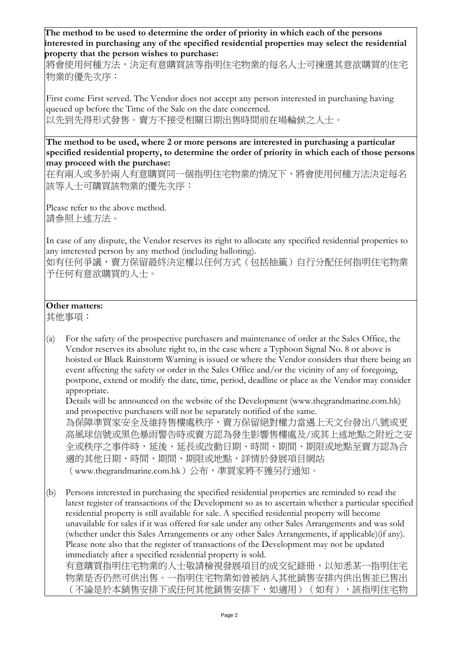**The method to be used to determine the order of priority in which each of the persons interested in purchasing any of the specified residential properties may select the residential property that the person wishes to purchase:** 

將會使用何種方法,決定有意購買該等指明住宅物業的每名人士可揀選其意欲購買的住宅 物業的優先次序:

First come First served. The Vendor does not accept any person interested in purchasing having queued up before the Time of the Sale on the date concerned. 以先到先得形式發售。賣方不接受相關日期出售時間前在場輪候之人士。

**The method to be used, where 2 or more persons are interested in purchasing a particular specified residential property, to determine the order of priority in which each of those persons may proceed with the purchase:**

在有兩人或多於兩人有意購買同一個指明住宅物業的情況下,將會使用何種方法決定每名 該等人士可購買該物業的優先次序:

Please refer to the above method. 請參照上述方法。

In case of any dispute, the Vendor reserves its right to allocate any specified residential properties to any interested person by any method (including balloting).

如有任何爭議,賣方保留最終決定權以任何方式(包括抽籤)自行分配任何指明住宅物業 予任何有意欲購買的人士。

## **Other matters:**

其他事項:

(a) For the safety of the prospective purchasers and maintenance of order at the Sales Office, the Vendor reserves its absolute right to, in the case where a Typhoon Signal No. 8 or above is hoisted or Black Rainstorm Warning is issued or where the Vendor considers that there being an event affecting the safety or order in the Sales Office and/or the vicinity of any of foregoing, postpone, extend or modify the date, time, period, deadline or place as the Vendor may consider appropriate.

Details will be announced on the website of the Development (www.thegrandmarine.com.hk) and prospective purchasers will not be separately notified of the same. 為保障準買家安全及維持售樓處秩序,賣方保留絕對權力當遇上天文台發出八號或更 高風球信號或黑色暴雨警告時或賣方認為發生影響售樓處及/或其上述地點之附近之安 全或秩序之事件時,延後、延長或改動日期、時間、期間、期限或地點至賣方認為合 適的其他日期、時間、期間、期限或地點,詳情於發展項目網站

```
(www.thegrandmarine.com.hk)公布,準買家將不獲另行通知。
```
(b) Persons interested in purchasing the specified residential properties are reminded to read the latest register of transactions of the Development so as to ascertain whether a particular specified residential property is still available for sale. A specified residential property will become unavailable for sales if it was offered for sale under any other Sales Arrangements and was sold (whether under this Sales Arrangements or any other Sales Arrangements, if applicable)(if any). Please note also that the register of transactions of the Development may not be updated immediately after a specified residential property is sold. 有意購買指明住宅物業的人士敬請檢視發展項目的成交紀錄冊,以知悉某一指明住宅

物業是否仍然可供出售。一指明住宅物業如曾被納入其他銷售安排內供出售並已售出 (不論是於本銷售安排下或任何其他銷售安排下,如適用)(如有),該指明住宅物